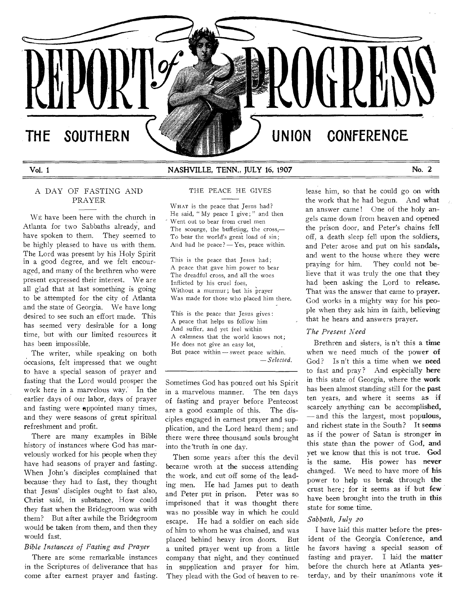# **THE SOUTHERN**

## Vol. 1 NASHVILLE, TENN., JULY 16, 1907 No. 2

# A DAY OF FASTING AND PRAYER

WE have been here with the church in Atlanta for two Sabbaths already, and have spoken to them. They seemed to be highly pleased to have us with them. The Lord was present by his Holy Spirit in a good degree, and we felt encouraged, and many of the brethren who were present expressed their interest. We are all glad that at last something is going to be attempted for the city of Atlanta and the state of Georgia. We have long desired to see such an effort made. This has seemed very desirable for a long time, but with our limited resources it has been impossible.

The writer, while speaking on both occasions, felt impressed that we ought to have a special season of prayer and fasting that the Lord would prosper the work here in a marvelous way: In the earlier days of our labor, days of prayer and fasting were appointed many times, and they were seasons of great spiritual refreshment and profit.

There are many examples in Bible history of instances where God has marvelously worked for his people when they have had seasons of prayer and fasting. When John's disciples complained that because they had to fast, they thought that Jesus' disciples ought to fast also, Christ said, in substance, How could they fast when the Bridegroom was with them? But after awhile the Bridegroom would be taken from them, and then they would fast.

#### *Bible Instances of Fasting and Prayer*

There are some remarkable instances in the Scriptures of deliverance that has come after earnest prayer and fasting.

# THE PEACE HE GIVES

WHAT is the peace that Jesus had? He said, " My peace I give; " and then Went out to bear from cruel men The scourge, the buffeting, the cross,— To bear the world's great load of sin; And had he peace?  $-$  Yes, peace within.

This is the peace that Jesus had; A peace that gave him power to bear The dreadful cross, and all the woes Inflicted by his cruel foes, Without a murmur; but his prayer Was made for those who placed him there.

This is the peace that Jesus gives : A peace that helps us follow him And suffer, and yet feel within A calmness that the world knows not; He does not give an easy lot, But peace within — sweet peace within. *— Selected.* 

Sometimes God has poured out his Spirit in a marvelous manner. The ten days of fasting and prayer before Pentecost are a good example of this. The disciples engaged in earnest prayer and supplication, and the Lord heard them ; and there were three thousand souls brought into the truth in one day.

Then some years after this the devil became wroth at the success attending the work, and cut off some of the leading men. He had James put to death and Peter put in prison. Peter was so imprisoned that it was thought there was no possible way in which he could escape. He had a soldier on each side of him to whom he was chained, and was placed behind heavy iron doors. But a united prayer went up from a little company that night, and they continued in supplication and prayer for him. They plead with the God of heaven to release him, so that he could go on with the work that he had begun. And what an answer came ! One of the holy angels came down from heaven and opened the prison door, and Peter's chains fell off, a death sleep fell upon the soldiers, and Peter arose and put on his sandals, and went to the house where they were praying for him. They could not believe that it was truly the one that they had been asking the Lord to release. That was the answer that came to prayer. God works in a mighty way for his people when they ask him in faith, believing that he hears and answers prayer.

**OGRED A** 

### *The Present Need*

**UNION CONFERENCE** 

Brethren and sisters, is n't this a time when we need much of the power of God? Is n't this a time when we need to fast and pray? And especially here in this state of Georgia, where the work has been almost standing still for the past ten years, and where it seems as if scarcely anything can be accomplished, — and this the largest, most populous, and richest state in the South ? It seems as if the power of Satan is stronger in this state than the power of God, and yet we know that this is not true. God is the same. His power has never changed. We need to have more of his power to help us break through the crust here ; for it seems as if but few have been brought into the truth in this state for some time.

### *Sabbath, July 20*

I have laid this matter before the president of the Georgia Conference, and he favors having a special season of fasting and prayer. I laid the matter before the church here at Atlanta yesterday, and by their unanimous vote it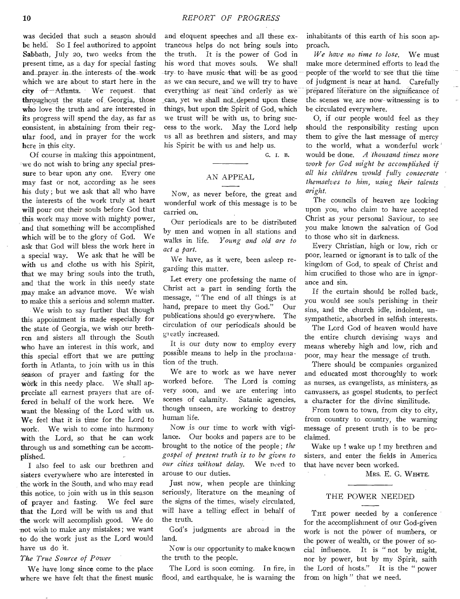was decided that such a season should be held: So I feel authorized to appoint Sabbath, July zo, two weeks from the present time, as a day for special fasting and prayer in the interests of the work which we are about to start here in the city of Atlanta. We request, that throughout the state of Georgia, those who love the truth and are interested in its progress will spend the day, as far as consistent, in abstaining from their regular food, and in prayer for the work here in this city.

Of course in making this appointment, we do not wish to bring any special pressure to bear upon any one. Every one may fast or not, according as he sees his duty ; but we ask that all who have the interests of the work truly at heart will pour out their souls before God that this work may move with mighty power, and that something will be accomplished which will be to the glory of God. We ask that God will bless the work here in a special way. We ask that he will be with us and clothe us with his Spirit, that we may bring souls into the truth, and that the work in this needy state may make an advance move. We wish to make this a serious and solemn matter.

We wish to say further that though this appointment is made especially for the state of Georgia, we wish our brethren and sisters all through the South who have an interest in this work, and this special effort that we are putting forth in Atlanta, to join with us in this season of prayer and fasting for the work in this needy place. We shall appreciate all earnest prayers that are offered in behalf of the work here. We want the blessing of the Lord with us. We feel that it is time for the Lord to work. We wish to come into harmony with the Lord, so that he can work through us and something can be accomplished.

I also feel to ask our brethren and sisters everywhere who are interested in the work in the South, and who may read this notice, to join with us in this season of prayer and fasting. We feel sure that the Lord will be with us and that the work will accomplish good. We do not wish to make any mistakes ; we want to do the work just as the Lord would have us do it.

#### *The True Source of Power*

*We* have long since come to the place where we have felt that the finest music

and eloquent speeches and all these extraneous helps do not bring souls into the truth. It is the power of God in his word that moves souls. We shall try to have music that will be as good as we can secure, and we will try to have everything as neat and orderly as we can, yet we shall not depend upon these things, but upon the Spirit of God, which we trust will be with us, to bring success to the work. May the Lord help us all as brethren and sisters, and may his Spirit be with us and help us.

G. I. B.

# AN APPEAL

Now, as never before, the great and wonderful work of this message is to be carried on.

Our periodicals are to be distributed by men and women in all stations and walks in life. *Young and old are to act a part.* 

We have, as it were, been asleep regarding this matter.

Let every one professing the name of Christ act a part in sending forth the message, " The end of all things is at hand, prepare to meet thy God." Our publications should go everywhere. The circulation of our periodicals should be greatly increased.

It is our duty now to employ every possible means to help in the proclama tion of the truth.

We are to work as we have never worked before. The Lord is coming very soon, and we are entering into scenes of calamity. Satanic agencies, though unseen, are working to destroy human life.

Now is our time to work with vigilance. Our books and papers are to be brought to the notice of the people ; *the gospel of present truth is to be given to our cities without delay.* We need to arouse to our duties.

Just now, when people are thinking seriously, literature on the meaning of the signs of the times, wisely circulated, will have a telling effect in behalf of the truth.

God's judgments are abroad in the land.

Now is our opportunity to make known the truth to the people.

The Lord is soon coming. In fire, in flood, and earthquake, he is warning the

inhabitants of this earth of his soon approach.

*We have no time to lose.* We must make more determined efforts to lead the people' of the world to see that the time of judgment is near at hand. Carefully prepared literature on the significance of the- scenes we- are now witnessing is to be circulated everywhere.

0, if our people would feel as they should the responsibility resting upon them to give the last message of mercy to the world, what a wonderful work would be done. *A thousand times more work for God might be accomplished if all his children would fully consecrate themselves to him, using their talents aright.* 

The councils of heaven are looking upon you, who claim to have accepted Christ as your personal Saviour, to see you make known the salvation of God to those who sit in darkness.

Every Christian, high or low, rich or poor, learned or ignorant is to talk of the kingdom of God, to speak of Christ and him crucified to those who are in ignorance and sin.

If the curtain should be rolled back, you would see souls perishing in their sins, and the church idle, indolent, unsympathetic, absorbed in selfish interests.

The Lord God of heaven would have the entire church devising ways and means whereby high and low, rich and poor, may hear the message of truth.

There should be companies organized and educated most thoroughly to work as nurses, as evangelists, as ministers, as canvassers, as gospel students, to perfect a character for the divine similitude.

From town to town, from city to city, from country to country, the warning message of present truth is to be proclaimed.

Wake up ! wake up ! my brethren and sisters, and enter the fields in America that have never been worked.

MRS. E. G. WHITE.

#### THE POWER NEEDED

THE power needed by a conference for the accomplishment of our God-given work is not the power of numbers, or the power of wealth, or the power of social influence. It is " not by might, nor by power, but by my Spirit, saith the Lord of hosts." It is the " power from on high " that we need.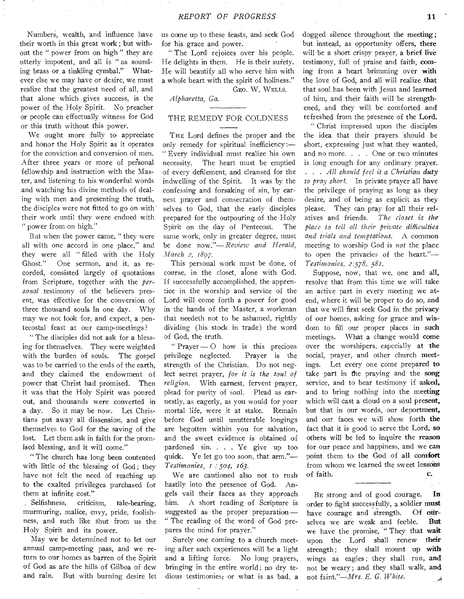Numbers, wealth, and influence have their worth in this great work ; but without the " power from on high " they are utterly impotent, and all is " as sounding brass or a tinkling cymbal." Whatever else we may have or desire, we must realize that the greatest need of all, and that alone which gives success, is the power of the Holy Spirit. No preacher or people can effectually witness for God or this truth without this power.

We ought more fully to appreciate and honor the Holy Spirit as it operates for the conviction and conversion of men. After three years or more of personal fellowship and instruction with the Master, and listening to his wonderful words and watching his divine methods of dealing with men and presenting the truth, the disciples were not fitted to go on with their work until they were endued with " power from on high."

But when the power came, " they were all with one accord in one place," and they were all " filled with the Holy Ghost." One sermon, and it, as recorded, consisted largely of quotations from Scripture, together with the *personal* testimony of the believers present, was effective for the conversion of three thousand souls in one day. Why may we not look for, and expect, a pentecostal feast at our camp-meetings?

" The disciples did not ask for a blessing for themselves. They were weighted with the burden of souls. The gospel was to be carried to the ends of the earth, and they claimed the endowment of power that Christ had promised. Then it was that the Holy Spirit was poured out, and thousands were converted in a day. So it may be now. Let Christians put away all dissension, and give themselves to God for the saving of the lost. Let them ask in faith for the promised blessing, and it will come."

" The church has long been contented with little of the blessing of God; they have not felt the need of reaching up to the exalted privileges purchased for them at infinite cost."

Selfishness, criticism, tale-bearing, murmuring, malice, envy, pride, foolishness, and such like shut from us the Holy Spirit and its power.

May we be determined not to let our annual camp-meeting pass, and we return to our homes as barren of the Spirit of God as are the hills of Gilboa of dew and rain. But with burning desire let us come up to these feasts, and seek God for his grace and power.

" The Lord rejoices over his people. He delights in them. He is their surety. He will beautify all who serve him with a whole heart with the spirit of holiness."

GEo. W. WELLS.

*Alpharetta, Ga.* 

## THE REMEDY FOR COLDNESS

THE Lord defines the proper and the only remedy for spiritual inefficiency :— " Every individual must realize his own necessity. The heart must be emptied of every defilement, and cleansed for the indwelling of the Spirit. It was by the confessing and forsaking of sin, by earnest prayer and consecration of themselves to God, that the early disciples prepared for the outpouring of the Holy Spirit on the day of Pentecost. The same work, only in greater degree, must be done now."— *Review and Herald, March 2, 1897.* 

This personal work must be done, of course, in the closet, alone with God. If successfully accomplished, the apprentice in the worship and service of the Lord will come forth a power for good in the hands of the Master, a workman that needeth not to be ashamed, rightly dividing (his stock in trade) the word of God, the truth.

" Prayer  $\sim$  0 how is this precious privilege neglected. Prayer is the strength of the Christian. Do not neglect secret prayer, *for it is the soul of religion.* With earnest, fervent prayer, plead for purity of soul. Plead as earnestly, as eagerly, as you would for your mortal life, were it at stake. Remain before God until unutterable longings are begotten within you for salvation, and the sweet evidence is obtained of pardoned sin. . . . Ye give up too quick. Ye let go too soon, that arm."-*Testimonies, I :.504, 163.* 

We are cautioned also not to rush hastily into the presence of God. Angels vail their faces as they approach him. A short reading of Scripture is suggested as the proper preparation — " The reading of the word of God prepares the mind for prayer."

Surely one coming to a church meeting after such experiences will be a light and a lifting force. No long prayers, bringing in the entire world; no dry tedious testimonies; or what is as bad, a

dogged silence throughout the meeting; but instead, as opportunity offers, there will be a short crispy prayer, a brief live testimony, full of praise and faith, coming from a heart brimming over with the love of God, and all will realize that that soul has been with Jesus and learned of him, and their faith will be strengthened, and they will be comforted and refreshed from the presence of the Lord.

" Christ impressed upon the disciples the idea that their prayers 'should be short, expressing just what they wanted, and no more. . . . One or two minutes is long enough for any ordinary prayer. . . . *All should feel it a Christian duty to pray short.* In private prayer all have the privilege of praying as long as they desire, and of being as explicit as they please. They can pray for all their relatives and friends. *The closet is the place to tell all their private difficulties and trials and temptations.* A common meeting to worship God is *not* the place to open the privacies of the heart."— *Testimonies, 2:578, 581.* 

Suppose, now, that we, one and all, resolve that from this time we will take an active part in every meeting we atend, where it will be proper to do so, and that we will first seek God in the privacy of our homes, asking for grace and wisdom to fill our proper places in such meetings. What a change would come over the worshipers, especially at the social, prayer, and other church meetings. Let every one come prepared to take part in the praying and the song service, and to bear testimony if asked, and to bring nothing into the meeting which will cast a cloud on a soul present, but that in our words, our deportment, and our faces we will show forth **the**  fact that it is good to serve the Lord, so others will be led to inquire the reason for our peace and happiness, and we can point them to the God of all comfort from whom we learned the sweet lessons of faith. c.

BE strong and of good courage. **In**  order to fight successfully, a soldier **must**  have courage and strength. Of ourselves we are weak and feeble. **But**  we have the promise, " They that **wait**  upon the Lord shall renew **their**  strength ; they shall mount up **with**  wings as eagles ; they shall run, **and**  not be weary ; and they shall walk, and not faint."—Mrs. *E. G. White.* فس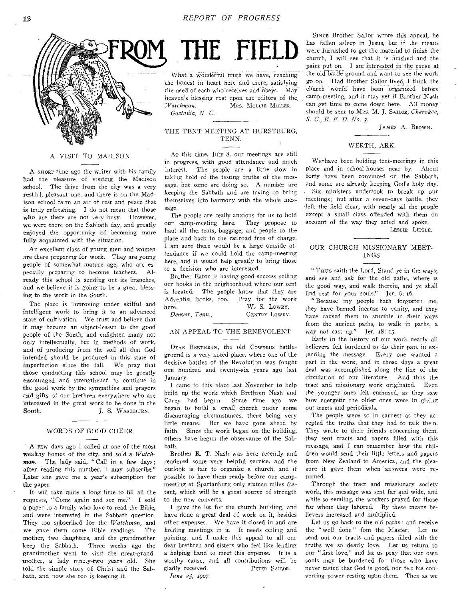

#### A VISIT TO MADISON

A SHORT time ago the writer with his family had the pleasure of visiting the Madison school. The drive from the city was a very restful, pleasant one, and there is on the Madison school farm an air of rest and peace that is truly refreshing. I do not mean that those who are there are not very busy. However, we were there on the Sabbath day, and greatly enjoyed the opportunity of becoming more fully acquainted with the situation.

An excellent class of young men and women are there preparing for work. They are young people of somewhat mature age, who are especially preparing to become teachers. Already this school is sending out its branches, and we believe it is going to be a great blessing to the work in the South.

The place is improving under skilful and intelligent work to bring it to an advanced state of cultivation. We trust and believe that it may become an object-lesson to the good people of the South, and enlighten many not only intellectually, but in methods of work, and of producing from the soil all that God intended should be produced in this state of imperfection since the fall. We pray that those conducting this school may be greatly encouraged and strengthened to continue in the good work by the sympathies and prayers and gifts of our brethren everywhere who are interested in the great work to be done in the South. J. S. WASHBURN.

#### WORDS OE GOOD CHEER

A rEw days ago I called at one of the most wealthy homes of the city, and sold a *Watch*man. The lady said, "Call in a few days; after reading this number, I may subscribe." Later she gave me a year's subscription for the paper.

It will take quite a long time to fill all the requests, " Come again and see me." I sold a paper to a family who love to read the Bible, and were interested in the Sabbath question. They too subscribed for the *Watchman,* and we gave them some Bible readings. The mother, two daughters, and the grandmother keep the Sabbath. Three weeks ago the grandmother went to visit the great-grandmother, a lady ninety-two years old. She told the simple story of Christ and the Sabbath, and now she too is keeping it.

THE FIELD

What a wonderful truth we have, reaching the honest in heart here and there, satisfying the need of each who receives and obeys. May heaven's blessing rest upon the editors, of the *Watchman.* MRS. MOLLIE MILLER. *Gastoriia, N. C.* 

#### THE TENT-MEETING AT HURSTBURG, TENN.

AT this time, July 8, our meetings are still in progress, with good attendance and much interest. The people are a little slow in taking hold of the testing truths of the message, but some are doing so. A number are keeping the Sabbath and are trying to bring themselves into harmony with the whole message.

The people are really anxious for us to hold our camp-meeting here. They propose to haul all the. tents, baggage, and people to the place and back to the railroad free of charge. I am sure there would be a large outside attendance if we could hold the camp-meeting here, and it would help greatly to bring those to a decision who are interested.

Brother Eaton is having good success selling our books in the neighborhood where our tent is located. The people know that they are Adventist books, too. Pray for the work here. W<sub>r</sub> S. Lowry, *Denver, Tenn.,* GENTRY LOWRY.

#### AN APPEAL TO THE BENEVOLENT

DEAR BRETHREN, the old Cowpens battleground is a very noted place, where one of the decisive battles of the Revolution was fought one hundred and twenty-six years ago last January.

I came to this place last November to help build up the work which Brethren Nash and Carey had begun. Some time ago we began to build a small church under some discouraging circumstances, there being very little means. But we have gone ahead by faith. Since the work began on the building, others have begun the observance of the Sabbath.

Brother R. T. Nash was here recently and rendered some very helpful service, and the outlook is fair to organize a church, and if possible to have them ready before our campmeeting at Spartanburg only sixteen miles distant, which will be a great source of strength to the new converts.

I gave the lot for the church building, and have done a great deal of work on it, besides other expenses. We have it closed in and are holding meetings in it. It needs ceiling and painting, and I make this appeal to all our dear brethren and sisters who feel like lending a helping hand to meet this expense. It is a worthy cause, and all contributions will be gladly received. PETER SAILOR. gladly received.

*June 25, 1907.* 

SINCE Brother Sailor wrote this appeal, he has fallen asleep in Jesus, but if the means were furnished to get the material to finish the church, I will see that it is finished and the paint put on. I am interested in the cause at the old battle-ground and want to see the work go on. Had Brother Sailor lived, I think the church would have been organized before camp-meeting, and it may yet if Brother Nash can get time to come down here. All money should be sent to MRS. M. J. SAILOR, *Cherokee, S. C., R. F. D. No. 3.* 

JAMES A. BROWN.

#### WERTH, ARK.

WE-have been holding tent-meetings in this place and in school-houses near by. About forty have been convinced on the Sabbath, and some are already keeping God's holy day. Six ministers undertook to break up our meetings; but after a seven-days battle, they left the field clear, with nearly all the people except a small class offended with them on account of the way they acted and spoke.

LESLIE LITTLE.

#### OUR CHURCH MISSIONARY MEET-INGS

" Thus saith the Lord, Stand ye in the ways, and see and ask for the old paths, where is the good way, and walk therein, and ye shall find rest for your souls." Jer. 6:16.

" Because my people hath forgotten me, they have burned incense to vanity, and they have caused them to stumble in their ways from the ancient paths, to walk in paths, a way not cast up." Jer. 18: 15.

Early in the history of our work nearly all believers felt burdened to do their part in extending the message. Every one wanted a part in the work, and in those days a great deal was accomplished along the line of the circulation of our literature. And thus the tract and missionary work originated. Even the younger ones felt enthused, as they saw how energetic the older ones were in giving out tracts and periodicals.

The people were so in earnest as they accepted the truths that they had to talk them. They wrote to their friends concerning them, they sent tracts and papers filled with this message, and I can remember how the children would send their little letters and papers from New Zealand to America, and the pleasure it gave them when answers were returned.

Through the tract and missionary society work, this message was sent far and wide, and while so sending, the workers prayed for those for whom they labored. By these means believers increased and multiplied.

Let us go back to the old paths; and receive the " well done " fom the Master. Let us send out our tracts and papers filled with the truths we so dearly love. Let us return to our " first love," and let us pray that our own souls may be burdened for those who have never tasted that God is good, nor felt his converting power resting upon them. Then as we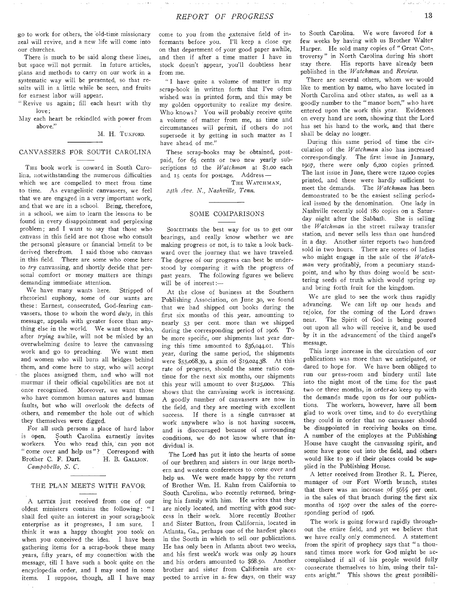go to work for others, the old-time missionary zeal will revive, and a new life will come into our churches.

There is much to be said along these lines, but space will not permit. In future articles, plans and methods to carry on our work in a systematic way will be presented, so that results will in a little while be seen, and fruits for earnest labor will appear.

" Revive us again; fill each heart with thy love;

May each heart be rekindled with power from above."

M. H. TUXFORD.

#### CANVASSERS FOR SOUTH CAROLINA

THE book work is onward in South Carolina, notwithstanding the numerous difficulties which we are compelled to meet from time to time. As evangelistic canvassers, we feel that we are engaged in a very important work, and that we are in a school. Being, therefore, in a school, we aim to learn the lessons to be found in every disappointment and perplexing problem; and I want to say that those who canvass in this field are not those who consult the personal pleasure or financial benefit to be derived therefrom. I said those who canvass in this field. There are some who come here to *try* canvassing, and shortly decide that personal comfort or money matters are things demanding immediate attention.

We have many wants here. Stripped of rhetorical euphony, some of our wants are these : Earnest, consecrated, God-fearing canvassers, those to whom the word *duty,* in this message, appeals with greater force than anything else in the world. We want those who, after *trying* awhile, will not be misled by an overwhelming desire to leave the canvassing work and go to preaching. We want men and women who will burn all bridges behind them, and come here to stay, who will accept the places assigned them, and who will not murmur if their official capabilities are not at once recognized. Moreover, we want those who have common human natures and human faults, but who will overlook the defects of others, and remember the hole out of which they themselves were digged.

For all such persons a place of hard labor is open. South Carolina earnestly invites<br>workers. You who read this can you not You who read this, can you not " come over and help us"? Correspond with Brother C. F. Dart. H. B. GALLION. Brother C. F. Dart.

*Campobello, S. C.* 

#### THE PLAN MEETS WITH FAVOR

A LETTER just received from one of our oldest ministers contains the following: "I shall feel quite an interest in your scrap-book enterprise as it progresses, I am sure. I think it was a happy thought you took on when you conceived the idea. I have been gathering items for a scrap-book these many years, fifty years, of my connection with the message, till I have such a book quite on the encyclopedia order, and I may send in some items. I suppose, though, all I have may

come to you from the extensive field of informants before you. I'll keep a close eye on that department of your good paper awhile, and then if after a time matter I have in stock doesn't appear, you'll doubtless hear from me.

I have quite a volume of matter in my scrap-book in written forfn that I've often wished was in printed form, and this may be my golden opportunity to realize my desire. Who knows? You will probably receive quite a volume of matter from me, as time and circumstances will permit, if others do not supersede it by getting in such matter as I have ahead of me."

These scrap-books may be obtained, postpaid, for 65 cents or two new yearly subscriptions to the *Watchman* at \$1.00 each and 15 cents for postage. Address —

THE WATCHMAN,

*24th Ave. N., Nashville, Tenn.* 

## SOME COMPARISONS

SOMETIMES the best way for us to get our bearings, and really know whether we are making progress or not, is to take a look backward over the journey that we have traveled. The degree of our progress can best be understood by comparing it with the progress of past years. The following figures we believe will be of interest:—

At the close of business at the Southern Publishing Association, on June 30, we found that we had shipped out books during the first six months of this year, amounting to nearly 53 per cent. more than we shipped during the corresponding period of 1906. To be more specific, our shipments last year during this time amounted to \$36,044.01. This year, during the same period, the shipments were \$55,068.39, a gain of \$19,024.38. At this rate of progress, should the same ratio continue for the next six months, our shipments this year will amount to over \$125,000. This shows that the canvassing work is increasing. A goodly number of canvassers are now in the field, and they are meeting with excellent success. If there is a single canvasser at work anywhere who is not having success, and is discouraged because of surrounding conditions, we do not know where that individual is.

The Lord has put it into the hearts of some of our brethren and sisters in our large northern and western conferences to come over and help us. We were made happy by the return of Brother Wm. H. Rahn from California to South Carolina, who recently returned, bringing his family with him. He writes that they are nicely located, and meeting with good success in their work. More recently Brother and Sister Button, from California, located in Atlanta, Ga., perhaps one of the hardest places in the South in which to sell our publications. He has only been in Atlanta about two weeks, and his first week's work was only 29 hours and his orders amounted to \$68.50. Another brother and sister from California are expected to arrive in a- few days, on their way

to South Carolina. We were favored for a few weeks by having with us Brother Walter Harper. He sold many copies of " Great Con-. troversy " in North Carolina during his short stay there. His reports have already been published in the *"Watchman* and *Review.* 

There are several others, whom we would like to mention by name, who have located in North Carolina and other states, as well as a goodly number to the " manor born," who have entered upon the work this year. Evidences on every hand are seen, showing that the Lord has set his hand to the work, and that there shall be delay no longer.

During this same period of time the circulation of the *Watchman* also has increased correspondingly. The first issue in January, 1907, there were only 6,20o copies printed. The last issue in June, there were 12,000 copies printed, and these were hardly sufficient to meet the demands. The *Watchman* has been demonstrated to be the easiest selling periodical issued by the denomination. One lady in Nashville recently sold 18o copies on a Saturday night after the Sabbath. She is selling the *Watchman* in the street railway transfer station, and never sells less than one hundred in a day. Another sister reports two hundred sold in two hours. There are scores of ladies who might engage in the sale of the *Watch*man very profitably, from a pecuniary standpoint, and who by thus doing would be scattering seeds of truth which would spring up and bring forth fruit for the kingdom.

We are glad to see the work thus rapidly advancing. We can lift up our heads and rejoice, for the coming of the Lord draws near. The Spirit of God is being poured out upon all who will receive it, and be used by it in the advancement of the third angel's message.

This large increase in the circulation of our publications was more than we anticipated, or dared to hope for. We have been obliged to run our press-room and bindery until late into the night most of the time for the past two or three months, in order to keep up with the demands made upon us for our publications. The workers, however, have all been glad to work over time, and to do everything they could in order that no canvasser should be disappointed in receiving books on time. A number of the employes at the Publishing House have caught the canvassing spirit, and some have gone out into the field, and others would like to go if their places could be supplied in the Publishing House.

A letter received from Brother R. L. Pierce, manager of our Fort Worth branch, states that there was an increase of  $56\frac{1}{2}$  per cent. in the sales of that branch during the first six months of 1907 over the sales of the corresponding period of 1906.

The work is going forward rapidly throughout the entire field, and yet we believe that we have really only commenced. A statement from the spirit of prophecy says that " a thousand times more work for God might be accomplished if all of his people would fully consecrate themselves to him, using their talents aright." This shows the great possibili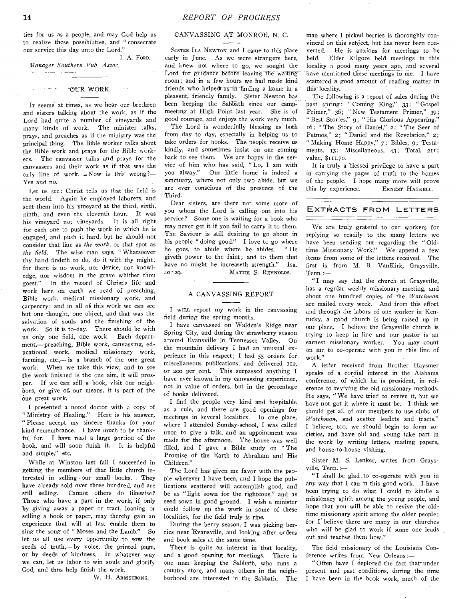ties for us as a people, and may God help us to realize these possibilities, and " consecrate our service this day unto the Lord."

I. A. FORD. *Manager Southern Pub. Assoc.* 

#### OUR WORK

IT seems at times, as we hear our brethren and sisters talking about the work, as if the Lord had quite a number of vineyards and many kinds of work. The minister talks, prays, and preaches as if the ministry was the principal thing. The Bible worker talks about the Bible work and prays for the Bible workers. The canvasser talks and prays for the canvassers and their work as if that was the only line of work.  $\sim$  Now is this wrong?— Yes and no.

Let us see: Christ tells us that the field is the world. Again he employed laborers, and sent them into his vineyard at the third, sixth, ninth, and even the eleventh hour. It was his vineyard not vineyards. It is all right for each one to push the work in which he is engaged, and push it hard, but he should not consider that line as *the work,* or that spot as *the field.* The wise man says, " Whatsoever thy hand findeth to do, do it with thy might; for there is no work, nor device, nor knowledge, nor wisdom in the grave whither thou goest." In the record of Christ's life and work here on earth we read of preaching, Bible work, medical missionary work, and carpentry; and in all of this work we can see but one thought, one object, and that was the salvation of souls and the finishing of the work. So it is to-day. There should be with us only one field, one work. Each department,— preaching, Bible work, canvassing, educational work, medical missionary work, farming, etc.,— is a branch of the one great work. When we take this view, and to see the work finished is the one aim, it will prosper. If we can sell a book, visit our neighbors, or give of. our means, it is part of the ne great work.

I presented a noted doctor with a copy of " Ministry of Healing." Here is his answer, " Please accept my sincere thanks for your kind remembrance. I have much to be thankful for. I have read a large portion of the book, and will soon finish it. It is helpful and simple," etc.

While at Winston last fall I succeeded in getting the members of that little church interested in selling our small books. They have already sold over three hundred, and are still selling. Cannot others do likewise? Those who have a part in the work, if only by giving away a paper or tract, loaning or selling a book or paper, may thereby gain an experience that will at last enable them to sing the song of " Moses and the Lamb." So let us all use every opportunity to sow the seeds of truth,— by voice, the printed page, or by deeds of kindness. In whatever way we can, let us labor to win souls and glorify God, and thus help finish the work.

W. H. ARMSTRONG.

## CANVASSING AT MONROE, N. C.

SISTER ILA NEWTON and I came to this place early in June. As we were strangers here, and knew not where to go, we sought the Lord for guidance before leaving the waiting room; and in a few hours we had made kind friends who helped us in finding a home in a pleasant, friendly family. Sister Newton has been keeping the Sabbath since our campmeeting at High Point last year. She is of good courage, and enjoys the work very much.

The Lord is wonderfully blessing us both from day to day, especially in helping us to take orders for books. The people receive us kindly, and sometimes insist on our coming back to see them. We are happy in the service of him who has said, "Lo,. I am with<br>you alway." Our little home is indeed a Our little home is indeed a sanctuary, where not only two abide, but we are ever conscious of the presence of the Third.

Dear sisters, are there not some more of you whom the Lord is calling out into his service? Some one is waiting for a book who may never get it if you fail to carry it to them. The Saviour is still desiring to go about in his people " doing good." I love to go where he goes, to abide where he abides. " He giveth power to the faint; and to them that have no might he increaseth strength." Isa. 4o : 29. MATTIE S. REYNOLDS.

### A CANVASSING REPORT

I WILL report my work in the canvassing field during the spring months.

I have canvassed on Walden's Ridge near Spring City, and during the strawberry season around Evansville in Tennessee Valley. On the mountain delivery I had an unusual experience in this respect; I had 55 orders for miscellaneous publications, and delivered 112, or 200 per cent. This surpassed anything I have ever known in my canvassing experience, not in value of orders, but in the percentage of books delivered.

I find the people very kind and hospitable as a rule, and there are good openings for meetings in several localities. In one place, where I attended Sunday-school, I was called upon to give a talk, and an appointment was made for the afternoon. The house was well filled, and I gave a Bible study on " The Promise of the Earth to Abraham and His Children."

The Lord has given me favor with the people wherever I have been, and I hope the publications scattered will accomplish good, and be as " light sown for the righteous," and as seed sown in good ground. I wish a minister could follow up the work in some of these localities, for the field truly is ripe.

During the berry season, I was picking berries near Evansville, and looking after orders and book sales at the same time.

There is quite an interest in that locality, and a good opening for meetings. There is one man keeping the Sabbath, who runs a country store, and many others in the neighborhood are interested in the Sabbath. The

man where I picked berries is thoroughly convinced on this subject, but has never been converted. He is anxious for meetings to be held. Elder Kilgore held meetings in this locality a good many years ago, and several have mentioned these meetings to me. I have scattered a good amount of reading matter in this locality.

The following is a report of sales during the past spring: "Coming King," 33; "Gospel Primer," 36; "New Testament Primer," 39; "Best Stories," 9; "His Glorious Appearing," 16; " The Story of Daniel," *2 • "* The Seer of Patmos," 2; "Daniel and the Revelation," 2; "Making Home Happy," 7; Bibles, 9; Testaments, 13; Miscellaneous, 43; Total, 211; value, \$111.70.

It is truly a blessed privilege to have a part in carrying the pages of truth to the homes of the people. I hope many more will prove this by experience. ERNEST HASKELL.

#### EXTRACTS FROM LETTERS

WE are truly grateful to our workers for replying so readily to the many letters we have been sending out regarding the " Oldtime Missionary Work." We append a few items *from some* of the letters received. The first is from M. B. VanKirk, Graysville, Tenn.:—

" I may say that the church at Graysville, has a regular weekly missionary meeting, and about one hundred copies of the *Watchman*  are mailed every week. And from this effort and through the labors of one worker in Kentucky, a good church is being raised up in one place. I believe the Graysville church is trying to keep in line and our pastor is an earnest missionary worker. You may count on me to co-operate with you in this line of work."

A letter received from Brother Haysmer speaks of a cordial interest in the Alabama conference, of which he is president, in reference to reviving the old missionary methods. He says, " We have tried to revive it, but we have not got it where it must be. 1 think we should get all of our members to use clubs of *Watchman,* and scatter leaflets and tracts." I believe, too, we should begin to form societies, and have old and young take part in the work by writing letters, mailing papers, and house-to-house visiting.

Sister M. S. Lenker, writes from Graysville, Tenn.:—

" I shall be glad to co-operate with you in any way that I can in this good work. I have been trying to do what I could to kindle a missionary spirit among the young people, and hope that you will be able to revive the oldtime missionary spirit among the older people; for I believe there are many in our churches who will be glad to work if some one leads out and teaches them how."

The field missionary of the Louisiana Conference writes from New Orleans :—

" Often have I deplored the fact that under present and past conditions, during the time I have been in the book work, much of the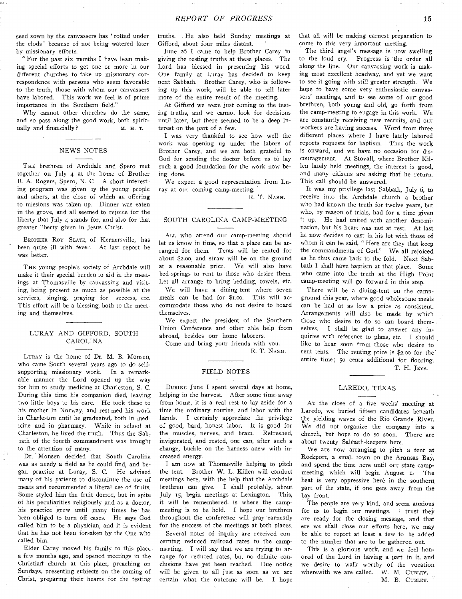seed sown by the canvassers has 'rotted under the clods' because of not being watered later by missionary efforts.

" For the past six months I have been making special efforts to get one or more in our different churches to take up missionary correspondence with persons who seem favorable to the truth, those with whom our canvassers have labored. This work we feel is of prime importance in the Southern field."

Why cannot other churches do the same, and so pass along the good work, both spiritually and financially? M. H. T.

## NEWS NOTES

THE brethren of Archdale and Spero met together on July 4 at the home of Brother B. A. Rogers, Spero, N. C. A short interesting program was given by the young people and others, at the close of which an offering to missions was taken up. Dinner was eaten in the grove, and all seemed to rejoice for the liberty that July 4 stands for, and also for that greater liberty given in Jesus Christ.

BROTHER ROY SLATE, of Kernersville, has been quite ill with fever. At last report he was better.

THE young people's society of Archdale will make it their special burden to aid in the meetings at Thomasville by canvassing and visiting, being present as much as possible at the services, singing, praying for success, etc. This effort will be a blessing, both to the meeting and themselves.

#### LURAY AND GIFFORD, SOUTH CAROLINA

LURAY is the home of Dr. M. B. Monsen, who came South several years ago to do selfsupporting missionary work. In a remarkable manner the Lord opened up the way for him to study medicine at Charleston, S. C. During this time his companion died, leaving two little boys to his care. He took these to his mother in Norway, and resumed his work in Charleston until he graduated, both in medicine and in pharmacy. While in school at Charleston, he lived the truth. Thus the Sabbath of the fourth commandment was brought to the attention of many.

Dr. Monsen decided that South Carolina was as needy a field as he could find, and began practice at Luray, S. C. He advised many of his patients to discontinue the use of meats and recommended a liberal use of fruits. Some styled him the fruit doctor, but in spite of his peculiarities religiously and as a doctor, his practice grew until many times he has been obliged to turn off cases. He says God called him to be a physician, and it is evident that he has not been forsaken by the One who called him.

Elder Carey moved his family to this place a few months ago, and opened meetings in the Christian church at this place, preaching on Sundays, presenting subjects on the coming of Christ, preparing their hearts for the testing

truths. He also held Sunday meetings at Gifford, about four miles distant.

June 26 I came to help Brother Carey in giving the testing truths at these places. The Lord has blessed in presenting his word. One family at Luray has decided to keep next Sabbath. Brother Carey, who is following up this work, will be able to tell later more of the entire result of the meeting.

At Gifford we were just coming to the testing truths, and we cannot look for decisions until later, but there seemed to be a deep interest on the part of a few.

I was very thankful to see how well the work was opening up under the labors of Brother Carey, and we are both grateful to God for sending the doctor before us to lay such a good foundation for the work now being done.

We expect a good representation from Luray at our coming camp-meeting.

R. T. NASH.

### SOUTH CAROLINA CAMP-MEETING

ALL who attend Our camp-meeting should let us know in time, so that a place can be arranged for them. Tents will be rented for about \$2.00, and straw will be on the ground at a reasonable price. We will also have bed-springs to rent to those who desire them. Let all arrange to bring bedding, towels, etc.

We will have a dining-tent where seven meals can be had for \$1.00. This will accommodate those who do not desire to board themselves.

We expect the president of the Southern Union Conference and other able help from abroad, besides our home laborers.

Come and bring your friends with you.

R. T. NASH.

#### FIELD NOTES

DURING June I spent several days at home, helping in the harvest. After some time, away from home, it is a real rest to lay aside for a time the ordinary routine, and labor with the hands. I certainly appreciate the privilege of good, hard, honest labor. It is good for the muscles, nerves, and brain. Refreshed, invigorated, and rested, one can, after such a change, buckle on the harness anew with increased energy.

I am now at Thomasville helping to pitch the tent. Brother W. L. Killen will conduct meetings here, with the help that the Archdale brethren can give. I shall probably, about July 15, begin meetings at Lexington. This, it will be remembered, is where the campmeeting is to be held. I hope our brethren throughout the conference will pray earnestly for the success of the meetings at both places.

Several notes of inquiry are received concerning reduced railroad rates to the campmeeting. I will say that we are trying to arrange for reduced rates, but no definite conclusions have yet been reached. Due notice will be given to all just as soon as we are certain what the outcome will be. I hope

that all will be making earnest preparation to come to this very important meeting.

The third angel's message is now swelling to the loud cry. Progress is the order all along the line. Our canvassing work is making most excellent headway, and yet we want to see it going with still greater strength. We hope to have some very enthusiastic canvassers' meetings, and to see some of our good brethren, both young and old, go forth from the camp-meeting to engage in this work. We are constantly receiving new recruits, and our workers are having success. Word from three different places where I have lately labored reports requests for baptism. Thus the work is onward, and we have no occasion for discouragement. At Stovall, where Brother Killen lately held meetings, the interest is good, and many citizens are asking that he return. This call should be answered.

It was my privilege last Sabbath, July 6, to receive into the Archdale church a brother who had known the truth for twelve years, but who, by reason of trials, had for a time given it up. He had united with another denomination, but his heart was not at rest. At last he now decides to cast in his lot with those of whom it can be said, " Here are they that keep the commandments of God." We all rejoiced as he thus came back to the fold. Next Sabbath I shall have baptism at that place. Some who came into the truth at the High Point camp-meeting will go forward in this step.

There will be a dining-tent on the campground this year, where good wholesome meals can be had at as low a price as consistent. Arrangements will also be made by which those who desire to do so can board themselves. I shall be glad to answer any inquiries with reference to plans, etc. I should like to hear soon from those who desire to rent tents. The renting price is \$2.00 for the entire time; 5o cents additional for flooring. T. H. JEvs.

#### LAREDO, TEXAS

AT the close of a five weeks' meeting at Laredo, we buried fifteen candidates beneath the yielding waves of the Rio Grande River. We did not organize the company into a church, but hope to do so soon. There are about twenty Sabbath-keepers here.

We are now arranging to pitch a tent at Rockport, a small town on the Aransas Bay, and spend the time here until our state campmeeting, which will begin August 1, The heat is very oppressive here in the southern part of the state, if one gets away from the bay front.

The people are very kind, and seem anxious for us to begin our meetings. I trust they are ready for the closing message, and that ere we shall close our efforts here, we may be able to report at least a few to be added to the number that are to be gathered out.

This is a glorious work, and we feel honored of the Lord in having a part in it, and we desire to walk worthy of the vocation wherewith we are called. W. M. CUBLEY,

M. B. CUBLEY.